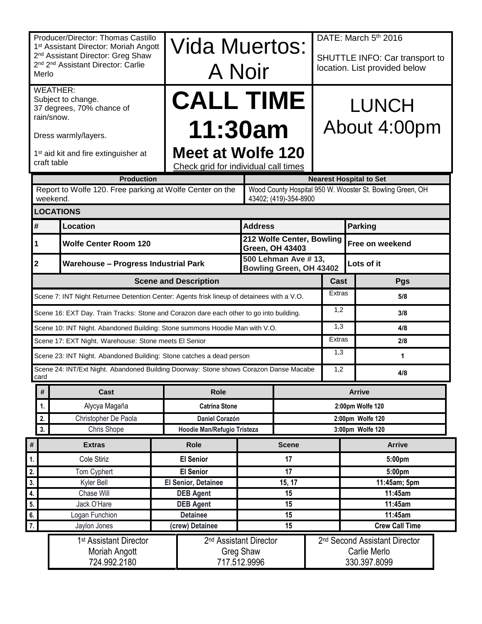|                                                                                                                                                            | Producer/Director: Thomas Castillo<br>1 <sup>st</sup> Assistant Director: Moriah Angott |                                                    | Vida Muertos:                                             |                                  |              |                                                       | DATE: March 5th 2016           |  |  |  |  |
|------------------------------------------------------------------------------------------------------------------------------------------------------------|-----------------------------------------------------------------------------------------|----------------------------------------------------|-----------------------------------------------------------|----------------------------------|--------------|-------------------------------------------------------|--------------------------------|--|--|--|--|
| 2 <sup>nd</sup> Assistant Director: Greg Shaw<br>2 <sup>nd</sup> 2 <sup>nd</sup> Assistant Director: Carlie                                                |                                                                                         |                                                    |                                                           |                                  |              |                                                       | SHUTTLE INFO: Car transport to |  |  |  |  |
| Merlo                                                                                                                                                      |                                                                                         |                                                    | A Noir                                                    |                                  |              |                                                       | location. List provided below  |  |  |  |  |
| <b>WEATHER:</b>                                                                                                                                            |                                                                                         |                                                    |                                                           |                                  |              |                                                       |                                |  |  |  |  |
| Subject to change.<br>37 degrees, 70% chance of                                                                                                            |                                                                                         |                                                    | <b>CALL TIME</b>                                          |                                  |              |                                                       | <b>LUNCH</b>                   |  |  |  |  |
|                                                                                                                                                            | rain/snow.                                                                              |                                                    |                                                           |                                  |              |                                                       |                                |  |  |  |  |
|                                                                                                                                                            | Dress warmly/layers.                                                                    |                                                    | 11:30am                                                   |                                  |              |                                                       | About 4:00pm                   |  |  |  |  |
| 1 <sup>st</sup> aid kit and fire extinguisher at<br>craft table                                                                                            |                                                                                         |                                                    | Meet at Wolfe 120<br>Check grid for individual call times |                                  |              |                                                       |                                |  |  |  |  |
|                                                                                                                                                            | <b>Production</b><br><b>Nearest Hospital to Set</b>                                     |                                                    |                                                           |                                  |              |                                                       |                                |  |  |  |  |
| Report to Wolfe 120. Free parking at Wolfe Center on the<br>Wood County Hospital 950 W. Wooster St. Bowling Green, OH<br>weekend.<br>43402; (419)-354-8900 |                                                                                         |                                                    |                                                           |                                  |              |                                                       |                                |  |  |  |  |
| <b>LOCATIONS</b>                                                                                                                                           |                                                                                         |                                                    |                                                           |                                  |              |                                                       |                                |  |  |  |  |
| #                                                                                                                                                          | Location                                                                                |                                                    |                                                           | <b>Address</b>                   |              |                                                       | <b>Parking</b>                 |  |  |  |  |
| 1                                                                                                                                                          | <b>Wolfe Center Room 120</b>                                                            |                                                    |                                                           |                                  |              | 212 Wolfe Center, Bowling<br><b>Green, OH 43403</b>   | Free on weekend                |  |  |  |  |
| $\overline{\mathbf{2}}$                                                                                                                                    |                                                                                         | <b>Warehouse - Progress Industrial Park</b>        |                                                           |                                  |              | 500 Lehman Ave #13,<br><b>Bowling Green, OH 43402</b> | Lots of it                     |  |  |  |  |
| <b>Scene and Description</b>                                                                                                                               |                                                                                         |                                                    |                                                           |                                  |              |                                                       | Cast<br>Pgs                    |  |  |  |  |
| Scene 7: INT Night Returnee Detention Center: Agents frisk lineup of detainees with a V.O.                                                                 |                                                                                         |                                                    |                                                           |                                  |              |                                                       | Extras<br>5/8                  |  |  |  |  |
| 1,2<br>Scene 16: EXT Day. Train Tracks: Stone and Corazon dare each other to go into building.<br>3/8                                                      |                                                                                         |                                                    |                                                           |                                  |              |                                                       |                                |  |  |  |  |
|                                                                                                                                                            | Scene 10: INT Night. Abandoned Building: Stone summons Hoodie Man with V.O.             |                                                    | 1,3<br>4/8                                                |                                  |              |                                                       |                                |  |  |  |  |
|                                                                                                                                                            | Scene 17: EXT Night. Warehouse: Stone meets El Senior                                   | Extras                                             | 2/8                                                       |                                  |              |                                                       |                                |  |  |  |  |
|                                                                                                                                                            | Scene 23: INT Night. Abandoned Building: Stone catches a dead person                    | 1,3                                                | 1                                                         |                                  |              |                                                       |                                |  |  |  |  |
| card                                                                                                                                                       | Scene 24: INT/Ext Night. Abandoned Building Doorway: Stone shows Corazon Danse Macabe   |                                                    |                                                           |                                  |              | 1,2                                                   | 4/8                            |  |  |  |  |
| $\#$                                                                                                                                                       | <b>Cast</b>                                                                             |                                                    | <b>Role</b>                                               |                                  |              |                                                       | <b>Arrive</b>                  |  |  |  |  |
| 1.                                                                                                                                                         | Alycya Magaña                                                                           |                                                    | <b>Catrina Stone</b>                                      |                                  |              |                                                       | 2:00pm Wolfe 120               |  |  |  |  |
| 2.                                                                                                                                                         | Christopher De Paola                                                                    |                                                    | <b>Daniel Corazón</b>                                     |                                  |              |                                                       | 2:00pm Wolfe 120               |  |  |  |  |
| 3.                                                                                                                                                         | Chris Shope                                                                             |                                                    | Hoodie Man/Refugio Tristeza                               |                                  |              |                                                       | 3:00pm Wolfe 120               |  |  |  |  |
| $\#$                                                                                                                                                       | <b>Extras</b>                                                                           |                                                    | <b>Role</b>                                               |                                  | <b>Scene</b> |                                                       | <b>Arrive</b>                  |  |  |  |  |
| $\mathbf{1}$                                                                                                                                               | Cole Stiriz                                                                             |                                                    | <b>El Senior</b>                                          |                                  | 17           |                                                       | 5:00pm                         |  |  |  |  |
| 2.                                                                                                                                                         | Tom Cyphert                                                                             |                                                    | <b>El Senior</b>                                          |                                  | 17           |                                                       | 5:00pm                         |  |  |  |  |
| $\overline{\mathbf{3}}$ .                                                                                                                                  | Kyler Bell                                                                              |                                                    | El Senior, Detainee                                       |                                  | 15, 17       |                                                       | 11:45am; 5pm                   |  |  |  |  |
| 4.<br>5.                                                                                                                                                   | Chase Will                                                                              |                                                    | <b>DEB Agent</b>                                          |                                  | 15<br>15     |                                                       | 11:45am<br>11:45am             |  |  |  |  |
| 6.                                                                                                                                                         | Logan Funchion                                                                          | Jack O'Hare<br><b>DEB Agent</b><br><b>Detainee</b> |                                                           |                                  | 15           |                                                       | 11:45am                        |  |  |  |  |
| $\overline{7}$ .                                                                                                                                           | Jaylon Jones                                                                            |                                                    | (crew) Detainee                                           |                                  | 15           |                                                       | <b>Crew Call Time</b>          |  |  |  |  |
|                                                                                                                                                            | 1 <sup>st</sup> Assistant Director                                                      | 2 <sup>nd</sup> Assistant Director                 |                                                           |                                  |              | 2 <sup>nd</sup> Second Assistant Director             |                                |  |  |  |  |
|                                                                                                                                                            | Moriah Angott<br>724.992.2180                                                           |                                                    |                                                           | <b>Greg Shaw</b><br>717.512.9996 |              |                                                       | Carlie Merlo<br>330.397.8099   |  |  |  |  |